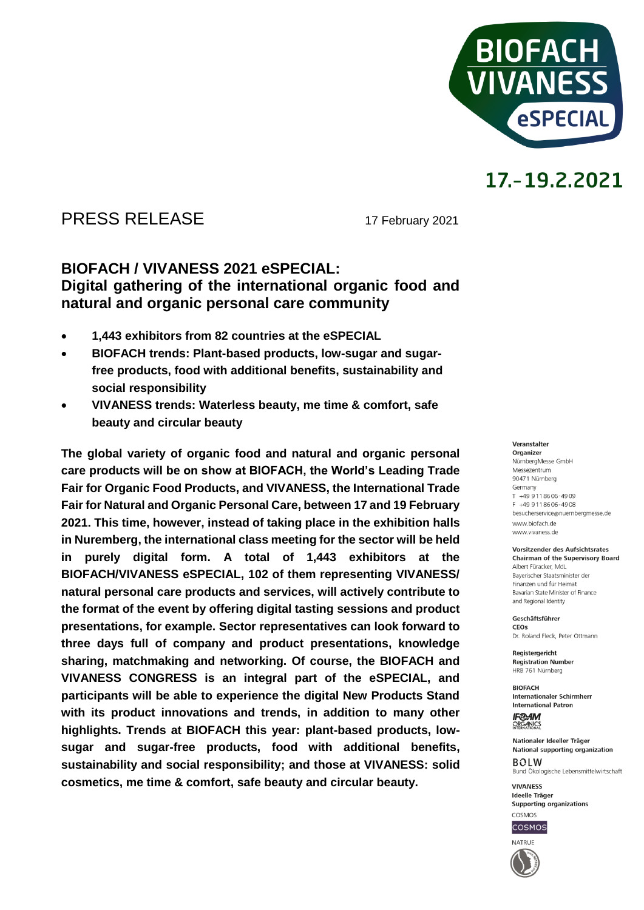

### PRESS RELEASE 17 February 2021

### **BIOFACH / VIVANESS 2021 eSPECIAL: Digital gathering of the international organic food and natural and organic personal care community**

- **1,443 exhibitors from 82 countries at the eSPECIAL**
- **BIOFACH trends: Plant-based products, low-sugar and sugarfree products, food with additional benefits, sustainability and social responsibility**
- **VIVANESS trends: Waterless beauty, me time & comfort, safe beauty and circular beauty**

**The global variety of organic food and natural and organic personal care products will be on show at BIOFACH, the World's Leading Trade Fair for Organic Food Products, and VIVANESS, the International Trade Fair for Natural and Organic Personal Care, between 17 and 19 February 2021. This time, however, instead of taking place in the exhibition halls in Nuremberg, the international class meeting for the sector will be held in purely digital form. A total of 1,443 exhibitors at the BIOFACH/VIVANESS eSPECIAL, 102 of them representing VIVANESS/ natural personal care products and services, will actively contribute to the format of the event by offering digital tasting sessions and product presentations, for example. Sector representatives can look forward to three days full of company and product presentations, knowledge sharing, matchmaking and networking. Of course, the BIOFACH and VIVANESS CONGRESS is an integral part of the eSPECIAL, and participants will be able to experience the digital New Products Stand with its product innovations and trends, in addition to many other highlights. Trends at BIOFACH this year: plant-based products, lowsugar and sugar-free products, food with additional benefits, sustainability and social responsibility; and those at VIVANESS: solid cosmetics, me time & comfort, safe beauty and circular beauty.**

#### Veranstalter

Organizer NürnbergMesse GmbH Messezentrum 90471 Nürnberg Germany  $T + 499118606 - 4909$ F +49 9 11 86 06 - 49 08 besucherservice@nuernbergmesse.de www.biofach.de www.vivaness.de

#### **Vorsitzender des Aufsichtsrates Chairman of the Supervisory Board**

Albert Füracker, MdL Bayerischer Staatsminister der Finanzen und für Heimat Bavarian State Minister of Finance and Regional Identity

Geschäftsführer CEOS Dr. Roland Eleck, Peter Ottmann

Registergericht **Registration Number** HRB 761 Nürnberg

**BIOFACH** Internationaler Schirmherr **International Patron** 

**IF®AM** ORGANICS

Nationaler Ideeller Träger National supporting organization  $ROIM$ Bund Ökologische Lebensmittelwirtschaft

**VIVANESS** Ideelle Träger Supporting organizations



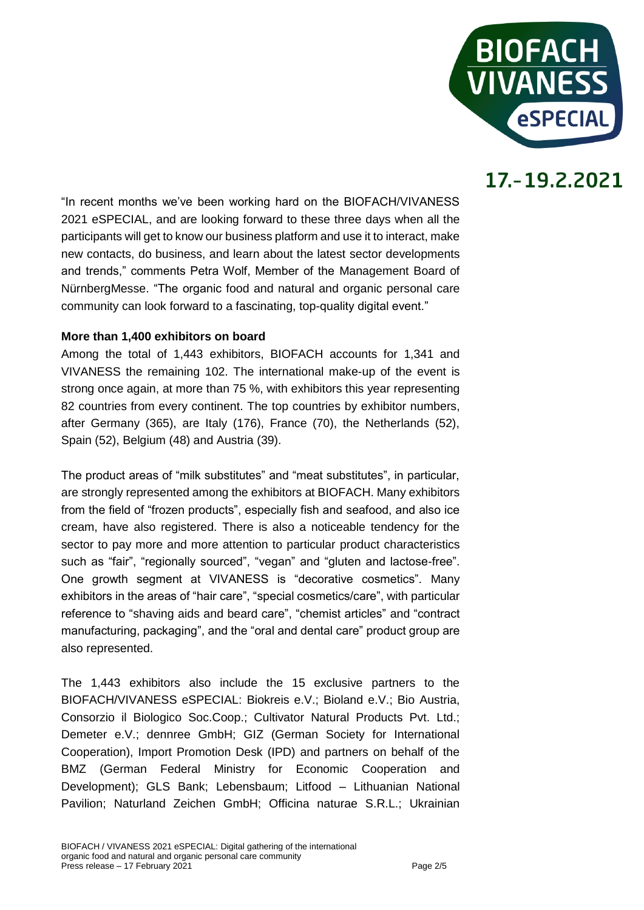

"In recent months we've been working hard on the BIOFACH/VIVANESS 2021 eSPECIAL, and are looking forward to these three days when all the participants will get to know our business platform and use it to interact, make new contacts, do business, and learn about the latest sector developments and trends," comments Petra Wolf, Member of the Management Board of NürnbergMesse. "The organic food and natural and organic personal care community can look forward to a fascinating, top-quality digital event."

#### **More than 1,400 exhibitors on board**

Among the total of 1,443 exhibitors, BIOFACH accounts for 1,341 and VIVANESS the remaining 102. The international make-up of the event is strong once again, at more than 75 %, with exhibitors this year representing 82 countries from every continent. The top countries by exhibitor numbers, after Germany (365), are Italy (176), France (70), the Netherlands (52), Spain (52), Belgium (48) and Austria (39).

The product areas of "milk substitutes" and "meat substitutes", in particular, are strongly represented among the exhibitors at BIOFACH. Many exhibitors from the field of "frozen products", especially fish and seafood, and also ice cream, have also registered. There is also a noticeable tendency for the sector to pay more and more attention to particular product characteristics such as "fair", "regionally sourced", "vegan" and "gluten and lactose-free". One growth segment at VIVANESS is "decorative cosmetics". Many exhibitors in the areas of "hair care", "special cosmetics/care", with particular reference to "shaving aids and beard care", "chemist articles" and "contract manufacturing, packaging", and the "oral and dental care" product group are also represented.

The 1,443 exhibitors also include the 15 exclusive partners to the BIOFACH/VIVANESS eSPECIAL: Biokreis e.V.; Bioland e.V.; Bio Austria, Consorzio il Biologico Soc.Coop.; Cultivator Natural Products Pvt. Ltd.; Demeter e.V.; dennree GmbH; GIZ (German Society for International Cooperation), Import Promotion Desk (IPD) and partners on behalf of the BMZ (German Federal Ministry for Economic Cooperation and Development); GLS Bank; Lebensbaum; Litfood – Lithuanian National Pavilion; Naturland Zeichen GmbH; Officina naturae S.R.L.; Ukrainian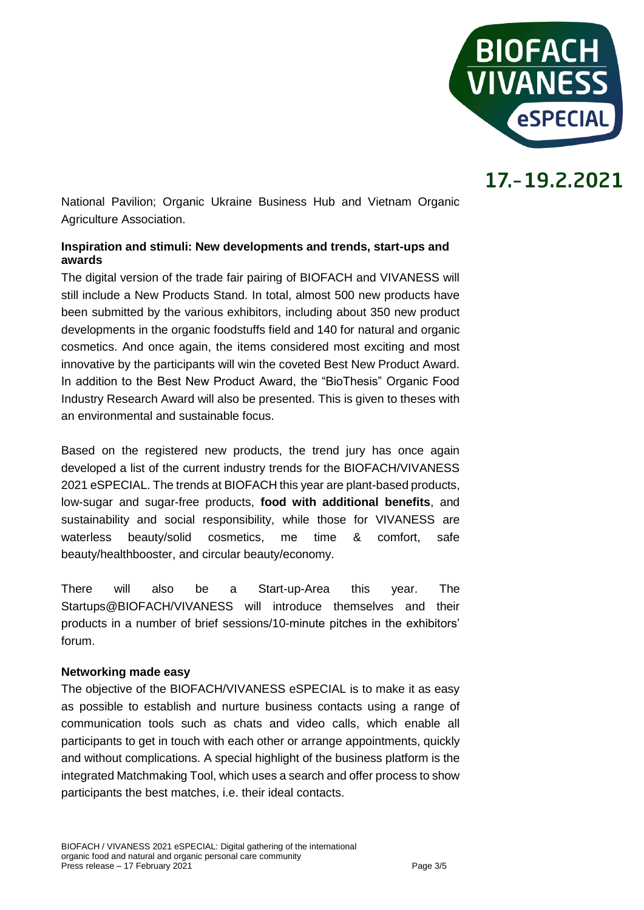

National Pavilion; Organic Ukraine Business Hub and Vietnam Organic Agriculture Association.

### **Inspiration and stimuli: New developments and trends, start-ups and awards**

The digital version of the trade fair pairing of BIOFACH and VIVANESS will still include a New Products Stand. In total, almost 500 new products have been submitted by the various exhibitors, including about 350 new product developments in the organic foodstuffs field and 140 for natural and organic cosmetics. And once again, the items considered most exciting and most innovative by the participants will win the coveted Best New Product Award. In addition to the Best New Product Award, the "BioThesis" Organic Food Industry Research Award will also be presented. This is given to theses with an environmental and sustainable focus.

Based on the registered new products, the trend jury has once again developed a list of the current industry trends for the BIOFACH/VIVANESS 2021 eSPECIAL. The trends at BIOFACH this year are plant-based products, low-sugar and sugar-free products, **food with additional benefits**, and sustainability and social responsibility, while those for VIVANESS are waterless beauty/solid cosmetics, me time & comfort, safe beauty/healthbooster, and circular beauty/economy.

There will also be a Start-up-Area this year. The Startups@BIOFACH/VIVANESS will introduce themselves and their products in a number of brief sessions/10-minute pitches in the exhibitors' forum.

### **Networking made easy**

The objective of the BIOFACH/VIVANESS eSPECIAL is to make it as easy as possible to establish and nurture business contacts using a range of communication tools such as chats and video calls, which enable all participants to get in touch with each other or arrange appointments, quickly and without complications. A special highlight of the business platform is the integrated Matchmaking Tool, which uses a search and offer process to show participants the best matches, i.e. their ideal contacts.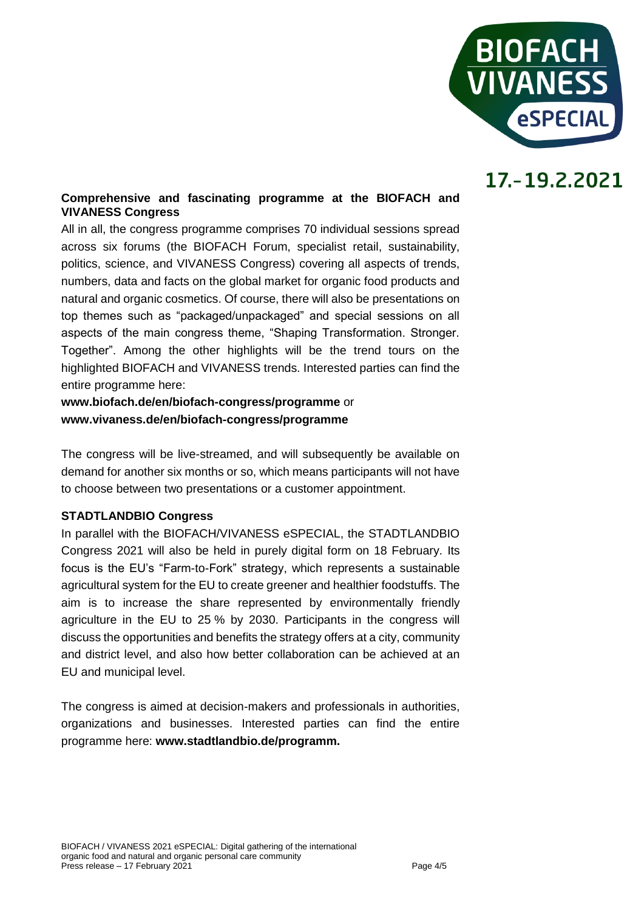

### **Comprehensive and fascinating programme at the BIOFACH and VIVANESS Congress**

All in all, the congress programme comprises 70 individual sessions spread across six forums (the BIOFACH Forum, specialist retail, sustainability, politics, science, and VIVANESS Congress) covering all aspects of trends, numbers, data and facts on the global market for organic food products and natural and organic cosmetics. Of course, there will also be presentations on top themes such as "packaged/unpackaged" and special sessions on all aspects of the main congress theme, "Shaping Transformation. Stronger. Together". Among the other highlights will be the trend tours on the highlighted BIOFACH and VIVANESS trends. Interested parties can find the entire programme here:

**www.biofach.de/en/biofach-congress/programme** or **www.vivaness.de/en/biofach-congress/programme**

The congress will be live-streamed, and will subsequently be available on demand for another six months or so, which means participants will not have to choose between two presentations or a customer appointment.

### **STADTLANDBIO Congress**

In parallel with the BIOFACH/VIVANESS eSPECIAL, the STADTLANDBIO Congress 2021 will also be held in purely digital form on 18 February. Its focus is the EU's "Farm-to-Fork" strategy, which represents a sustainable agricultural system for the EU to create greener and healthier foodstuffs. The aim is to increase the share represented by environmentally friendly agriculture in the EU to 25 % by 2030. Participants in the congress will discuss the opportunities and benefits the strategy offers at a city, community and district level, and also how better collaboration can be achieved at an EU and municipal level.

The congress is aimed at decision-makers and professionals in authorities, organizations and businesses. Interested parties can find the entire programme here: **www.stadtlandbio.de/programm.**